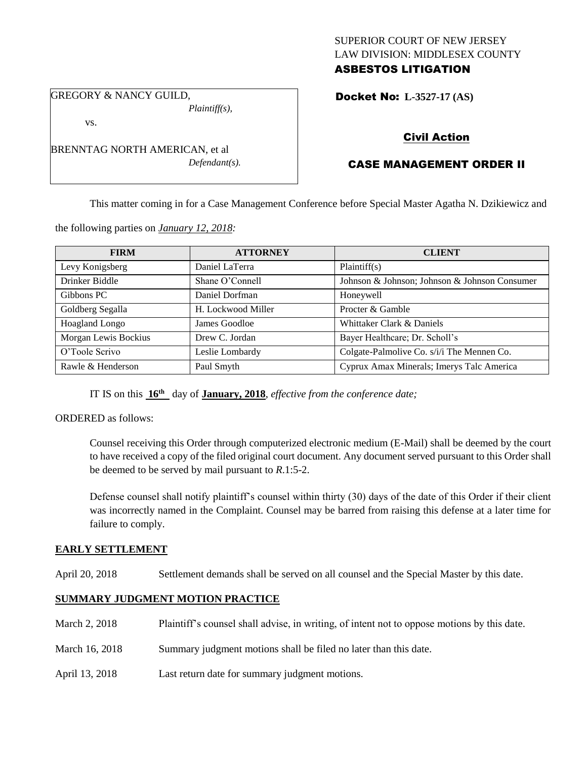## SUPERIOR COURT OF NEW JERSEY LAW DIVISION: MIDDLESEX COUNTY ASBESTOS LITIGATION

GREGORY & NANCY GUILD, *Plaintiff(s),*

vs.

BRENNTAG NORTH AMERICAN, et al *Defendant(s).*

## Docket No: **L-3527-17 (AS)**

## Civil Action

# CASE MANAGEMENT ORDER II

This matter coming in for a Case Management Conference before Special Master Agatha N. Dzikiewicz and

the following parties on *January 12, 2018:*

| <b>FIRM</b>          | <b>ATTORNEY</b>    | <b>CLIENT</b>                                 |
|----------------------|--------------------|-----------------------------------------------|
| Levy Konigsberg      | Daniel LaTerra     | Plaintiff(s)                                  |
| Drinker Biddle       | Shane O'Connell    | Johnson & Johnson; Johnson & Johnson Consumer |
| Gibbons PC           | Daniel Dorfman     | Honeywell                                     |
| Goldberg Segalla     | H. Lockwood Miller | Procter & Gamble                              |
| Hoagland Longo       | James Goodloe      | Whittaker Clark & Daniels                     |
| Morgan Lewis Bockius | Drew C. Jordan     | Bayer Healthcare; Dr. Scholl's                |
| O'Toole Scrivo       | Leslie Lombardy    | Colgate-Palmolive Co. s/i/i The Mennen Co.    |
| Rawle & Henderson    | Paul Smyth         | Cyprux Amax Minerals; Imerys Talc America     |

IT IS on this **16th** day of **January, 2018**, *effective from the conference date;*

ORDERED as follows:

Counsel receiving this Order through computerized electronic medium (E-Mail) shall be deemed by the court to have received a copy of the filed original court document. Any document served pursuant to this Order shall be deemed to be served by mail pursuant to *R*.1:5-2.

Defense counsel shall notify plaintiff's counsel within thirty (30) days of the date of this Order if their client was incorrectly named in the Complaint. Counsel may be barred from raising this defense at a later time for failure to comply.

## **EARLY SETTLEMENT**

April 20, 2018 Settlement demands shall be served on all counsel and the Special Master by this date.

## **SUMMARY JUDGMENT MOTION PRACTICE**

- March 2, 2018 Plaintiff's counsel shall advise, in writing, of intent not to oppose motions by this date.
- March 16, 2018 Summary judgment motions shall be filed no later than this date.
- April 13, 2018 Last return date for summary judgment motions.